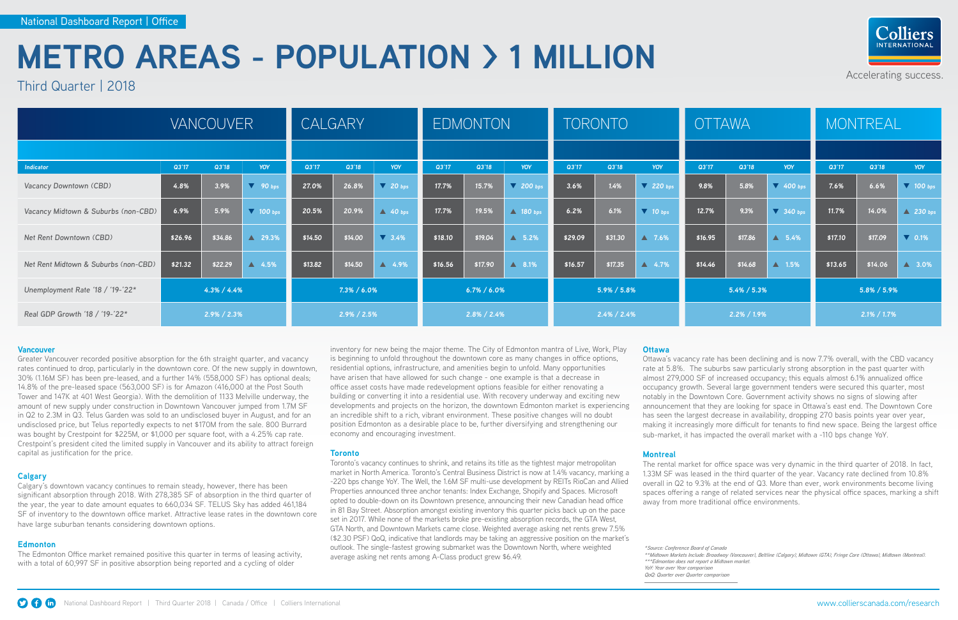# Accelerating success.



# **Vancouver**

Greater Vancouver recorded positive absorption for the 6th straight quarter, and vacancy rates continued to drop, particularly in the downtown core. Of the new supply in downtown, 30% (1.16M SF) has been pre-leased, and a further 14% (558,000 SF) has optional deals; 14.8% of the pre-leased space (563,000 SF) is for Amazon (416,000 at the Post South Tower and 147K at 401 West Georgia). With the demolition of 1133 Melville underway, the amount of new supply under construction in Downtown Vancouver jumped from 1.7M SF in Q2 to 2.3M in Q3. Telus Garden was sold to an undisclosed buyer in August, and for an undisclosed price, but Telus reportedly expects to net \$170M from the sale. 800 Burrard was bought by Crestpoint for \$225M, or \$1,000 per square foot, with a 4.25% cap rate. Crestpoint's president cited the limited supply in Vancouver and its ability to attract foreign capital as justification for the price.

# **Calgary**

Calgary's downtown vacancy continues to remain steady, however, there has been significant absorption through 2018. With 278,385 SF of absorption in the third quarter of the year, the year to date amount equates to 660,034 SF. TELUS Sky has added 461,184 SF of inventory to the downtown office market. Attractive lease rates in the downtown core have large suburban tenants considering downtown options.

# **Edmonton**

The Edmonton Office market remained positive this quarter in terms of leasing activity, with a total of 60,997 SF in positive absorption being reported and a cycling of older

inventory for new being the major theme. The City of Edmonton mantra of Live, Work, Play is beginning to unfold throughout the downtown core as many changes in office options, residential options, infrastructure, and amenities begin to unfold. Many opportunities have arisen that have allowed for such change - one example is that a decrease in office asset costs have made redevelopment options feasible for either renovating a building or converting it into a residential use. With recovery underway and exciting new developments and projects on the horizon, the downtown Edmonton market is experiencing an incredible shift to a rich, vibrant environment. These positive changes will no doubt position Edmonton as a desirable place to be, further diversifying and strengthening our economy and encouraging investment.

# **Toronto**

Toronto's vacancy continues to shrink, and retains its title as the tightest major metropolitan market in North America. Toronto's Central Business District is now at 1.4% vacancy, marking a -220 bps change YoY. The Well, the 1.6M SF multi-use development by REITs RioCan and Allied Properties announced three anchor tenants: Index Exchange, Shopify and Spaces. Microsoft opted to double-down on its Downtown presence, announcing their new Canadian head office in 81 Bay Street. Absorption amongst existing inventory this quarter picks back up on the pace set in 2017. While none of the markets broke pre-existing absorption records, the GTA West, GTA North, and Downtown Markets came close. Weighted average asking net rents grew 7.5% (\$2.30 PSF) QoQ, indicative that landlords may be taking an aggressive position on the market's outlook. The single-fastest growing submarket was the Downtown North, where weighted average asking net rents among A-Class product grew \$6.49.

#### **Ottawa**

Ottawa's vacancy rate has been declining and is now 7.7% overall, with the CBD vacancy rate at 5.8%. The suburbs saw particularly strong absorption in the past quarter with almost 279,000 SF of increased occupancy; this equals almost 6.1% annualized office occupancy growth. Several large government tenders were secured this quarter, most notably in the Downtown Core. Government activity shows no signs of slowing after announcement that they are looking for space in Ottawa's east end. The Downtown Core has seen the largest decrease in availability, dropping 270 basis points year over year, making it increasingly more difficult for tenants to find new space. Being the largest office sub-market, it has impacted the overall market with a -110 bps change YoY.

#### **Montreal**

The rental market for office space was very dynamic in the third quarter of 2018. In fact, 1.33M SF was leased in the third quarter of the year. Vacancy rate declined from 10.8% overall in Q2 to 9.3% at the end of Q3. More than ever, work environments become living spaces offering a range of related services near the physical office spaces, marking a shift away from more traditional office environments.

*\*Source: Conference Board of Canada \*\*Midtown Markets Include: Broadway (Vancouver), Beltline (Calgary), Midtown (GTA), Fringe Core (Ottawa), Midtown (Montreal). \*\*\*Edmonton does not report a Midtown market. YoY: Year over Year comparison QoQ: Quarter over Quarter comparison*



# **METRO AREAS - POPULATION > 1 MILLION**

Third Quarter | 2018

|                                      | <b>VANCOUVER</b> |         |                    | <b>CALGARY</b>  |         |                               | <b>EDMONTON</b> |         |                     | <b>TORONTO</b>  |         |                  | <b>OTTAWA</b>   |         |                  | <b>MONTREAL</b> |         |                     |
|--------------------------------------|------------------|---------|--------------------|-----------------|---------|-------------------------------|-----------------|---------|---------------------|-----------------|---------|------------------|-----------------|---------|------------------|-----------------|---------|---------------------|
|                                      |                  |         |                    |                 |         |                               |                 |         |                     |                 |         |                  |                 |         |                  |                 |         |                     |
| Indicator                            | Q3'17            | Q3'18   | <b>YOY</b>         | Q3'17           | Q3'18   | YOY                           | Q3'17           | Q3'18   | YOY                 | Q3'17           | Q3'18   | YOY              | Q3'17           | Q3'18   | YOY              | Q3'17           | Q3'18   | YOY                 |
| Vacancy Downtown (CBD)               | 4.8%             | 3.9%    | $\sqrt{ }$ 90 bps  | 27.0%           | 26.8%   | $\sqrt{20}$ bps               | 17.7%           | 15.7%   | $\sqrt{200}$ bp:    | 3.6%            | 1.4%    | $\sqrt{220}$ bps | 9.8%            | 5.8%    | $\sqrt{400}$ bps | 7.6%            | 6.6%    | $\sqrt{ }$ 100 bps  |
| Vacancy Midtown & Suburbs (non-CBD)  | 6.9%             | 5.9%    | $\sqrt{ }$ 100 bps | 20.5%           | 20.9%   | $\triangle$ 40 bps            | 17.7%           | 19.5%   | $\triangle$ 180 bps | 6.2%            | 6.1%    | $\sqrt{10}$ bps  | 12.7%           | 9.3%    | $\sqrt{340}$ bps | 11.7%           | 14.0%   | $\triangle$ 230 bps |
| Net Rent Downtown (CBD)              | \$26.96          | \$34.86 | $\triangle$ 29.3%  | \$14.50         | \$14.00 | $\overline{\phantom{0}}$ 3.4% | \$18.10         | \$19.04 | $\Delta$ 5.2%       | \$29.09         | \$31.30 | $\triangle$ 7.6% | \$16.95         | \$17.86 | $\triangle$ 5.4% | \$17.10         | \$17.09 | $\overline{V}$ 0.1% |
| Net Rent Midtown & Suburbs (non-CBD) | \$21.32          | \$22.29 | $\triangle$ 4.5%   | \$13.82         | \$14.50 | $\triangle$ 4.9%              | \$16.56         | \$17.90 | $\triangle$ 8.1%    | \$16.57         | \$17.35 | $\triangle$ 4.7% | \$14.46         | \$14.68 | $\triangle$ 1.5% | \$13.65         | \$14.06 | $\triangle$ 3.0%    |
| Unemployment Rate '18 / '19-'22*     | $4.3\% / 4.4\%$  |         |                    | $7.3\% / 6.0\%$ |         |                               | $6.7\% / 6.0\%$ |         |                     | $5.9\% / 5.8\%$ |         |                  | $5.4\% / 5.3\%$ |         |                  | $5.8\% / 5.9\%$ |         |                     |
| Real GDP Growth '18 / '19-'22*       | $2.9\%$ / 2.3%   |         |                    | $2.9\%$ / 2.5%  |         |                               | $2.8\%$ / 2.4%  |         |                     | $2.4\% / 2.4\%$ |         |                  | $2.2\% / 1.9\%$ |         |                  | $2.1\% / 1.7\%$ |         |                     |